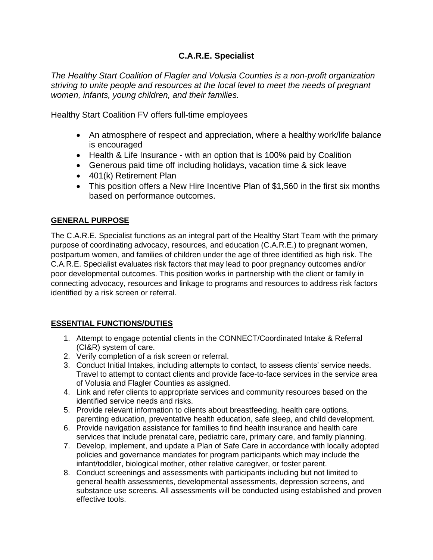## **C.A.R.E. Specialist**

*The Healthy Start Coalition of Flagler and Volusia Counties is a non-profit organization striving to unite people and resources at the local level to meet the needs of pregnant women, infants, young children, and their families.*

Healthy Start Coalition FV offers full-time employees

- An atmosphere of respect and appreciation, where a healthy work/life balance is encouraged
- Health & Life Insurance with an option that is 100% paid by Coalition
- Generous paid time off including holidays, vacation time & sick leave
- 401(k) Retirement Plan
- This position offers a New Hire Incentive Plan of \$1,560 in the first six months based on performance outcomes.

## **GENERAL PURPOSE**

The C.A.R.E. Specialist functions as an integral part of the Healthy Start Team with the primary purpose of coordinating advocacy, resources, and education (C.A.R.E.) to pregnant women, postpartum women, and families of children under the age of three identified as high risk. The C.A.R.E. Specialist evaluates risk factors that may lead to poor pregnancy outcomes and/or poor developmental outcomes. This position works in partnership with the client or family in connecting advocacy, resources and linkage to programs and resources to address risk factors identified by a risk screen or referral.

## **ESSENTIAL FUNCTIONS/DUTIES**

- 1. Attempt to engage potential clients in the CONNECT/Coordinated Intake & Referral (CI&R) system of care.
- 2. Verify completion of a risk screen or referral.
- 3. Conduct Initial Intakes, including attempts to contact, to assess clients' service needs. Travel to attempt to contact clients and provide face-to-face services in the service area of Volusia and Flagler Counties as assigned.
- 4. Link and refer clients to appropriate services and community resources based on the identified service needs and risks.
- 5. Provide relevant information to clients about breastfeeding, health care options, parenting education, preventative health education, safe sleep, and child development.
- 6. Provide navigation assistance for families to find health insurance and health care services that include prenatal care, pediatric care, primary care, and family planning.
- 7. Develop, implement, and update a Plan of Safe Care in accordance with locally adopted policies and governance mandates for program participants which may include the infant/toddler, biological mother, other relative caregiver, or foster parent.
- 8. Conduct screenings and assessments with participants including but not limited to general health assessments, developmental assessments, depression screens, and substance use screens. All assessments will be conducted using established and proven effective tools.